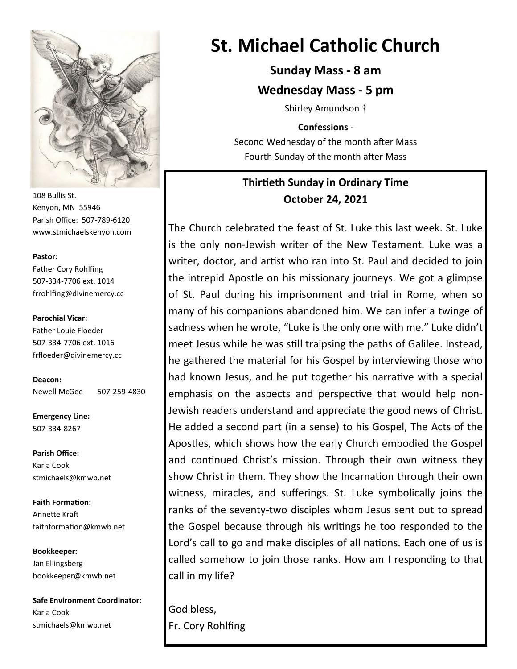

108 Bullis St. Kenyon, MN 55946 Parish Office: 507-789-6120 www.stmichaelskenyon.com

#### **Pastor:**

Father Cory Rohlfing 507-334-7706 ext. 1014 frrohlfing@divinemercy.cc

**Parochial Vicar:**  Father Louie Floeder 507-334-7706 ext. 1016 frfloeder@divinemercy.cc

**Deacon:**  Newell McGee 507-259-4830

**Emergency Line:** 507-334-8267

**Parish Office:**  Karla Cook stmichaels@kmwb.net

**Faith Formation:**  Annette Kraft faithformation@kmwb.net

**Bookkeeper:**  Jan Ellingsberg bookkeeper@kmwb.net

**Safe Environment Coordinator:** Karla Cook stmichaels@kmwb.net

# **St. Michael Catholic Church**

**Sunday Mass - 8 am Wednesday Mass - 5 pm**

Shirley Amundson †

**Confessions** - Second Wednesday of the month after Mass Fourth Sunday of the month after Mass

# **Thirtieth Sunday in Ordinary Time October 24, 2021**

The Church celebrated the feast of St. Luke this last week. St. Luke is the only non-Jewish writer of the New Testament. Luke was a writer, doctor, and artist who ran into St. Paul and decided to join the intrepid Apostle on his missionary journeys. We got a glimpse of St. Paul during his imprisonment and trial in Rome, when so many of his companions abandoned him. We can infer a twinge of sadness when he wrote, "Luke is the only one with me." Luke didn't meet Jesus while he was still traipsing the paths of Galilee. Instead, he gathered the material for his Gospel by interviewing those who had known Jesus, and he put together his narrative with a special emphasis on the aspects and perspective that would help non-Jewish readers understand and appreciate the good news of Christ. He added a second part (in a sense) to his Gospel, The Acts of the Apostles, which shows how the early Church embodied the Gospel and continued Christ's mission. Through their own witness they show Christ in them. They show the Incarnation through their own witness, miracles, and sufferings. St. Luke symbolically joins the ranks of the seventy-two disciples whom Jesus sent out to spread the Gospel because through his writings he too responded to the Lord's call to go and make disciples of all nations. Each one of us is called somehow to join those ranks. How am I responding to that call in my life?

God bless, Fr. Cory Rohlfing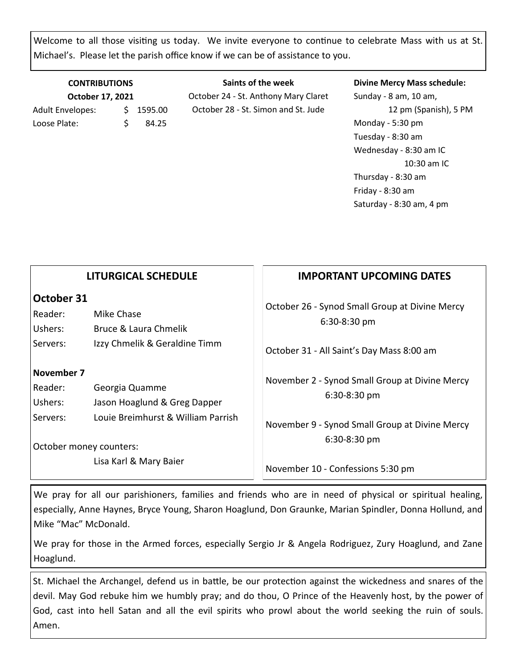Welcome to all those visiting us today. We invite everyone to continue to celebrate Mass with us at St. Michael's. Please let the parish office know if we can be of assistance to you.

| <b>CONTRIBUTIONS</b><br>October 17, 2021 |    |       |  |  |  |
|------------------------------------------|----|-------|--|--|--|
|                                          |    |       |  |  |  |
| Loose Plate:                             | S. | 84.25 |  |  |  |

**Saints of the week** October 24 - St. Anthony Mary Claret October 28 - St. Simon and St. Jude

#### **Divine Mercy Mass schedule:**

Sunday - 8 am, 10 am, 12 pm (Spanish), 5 PM Monday - 5:30 pm Tuesday - 8:30 am Wednesday - 8:30 am IC 10:30 am IC Thursday - 8:30 am Friday - 8:30 am Saturday - 8:30 am, 4 pm

|                                              | <b>LITURGICAL SCHEDULE</b>                                                                                      | <b>IMPORTANT UPCOMING DATES</b>                                                                                                    |
|----------------------------------------------|-----------------------------------------------------------------------------------------------------------------|------------------------------------------------------------------------------------------------------------------------------------|
| October 31<br>Reader:<br>Ushers:<br>Servers: | Mike Chase<br>Bruce & Laura Chmelik<br>Izzy Chmelik & Geraldine Timm                                            | October 26 - Synod Small Group at Divine Mercy<br>6:30-8:30 pm<br>October 31 - All Saint's Day Mass 8:00 am                        |
| November 7<br>Reader:<br>Ushers:<br>Servers: | Georgia Quamme<br>Jason Hoaglund & Greg Dapper<br>Louie Breimhurst & William Parrish<br>October money counters: | November 2 - Synod Small Group at Divine Mercy<br>6:30-8:30 pm<br>November 9 - Synod Small Group at Divine Mercy<br>$6:30-8:30$ pm |
| Lisa Karl & Mary Baier                       | November 10 - Confessions 5:30 pm                                                                               |                                                                                                                                    |
|                                              |                                                                                                                 |                                                                                                                                    |

We pray for all our parishioners, families and friends who are in need of physical or spiritual healing, especially, Anne Haynes, Bryce Young, Sharon Hoaglund, Don Graunke, Marian Spindler, Donna Hollund, and Mike "Mac" McDonald.

We pray for those in the Armed forces, especially Sergio Jr & Angela Rodriguez, Zury Hoaglund, and Zane Hoaglund.

St. Michael the Archangel, defend us in battle, be our protection against the wickedness and snares of the devil. May God rebuke him we humbly pray; and do thou, O Prince of the Heavenly host, by the power of God, cast into hell Satan and all the evil spirits who prowl about the world seeking the ruin of souls. Amen.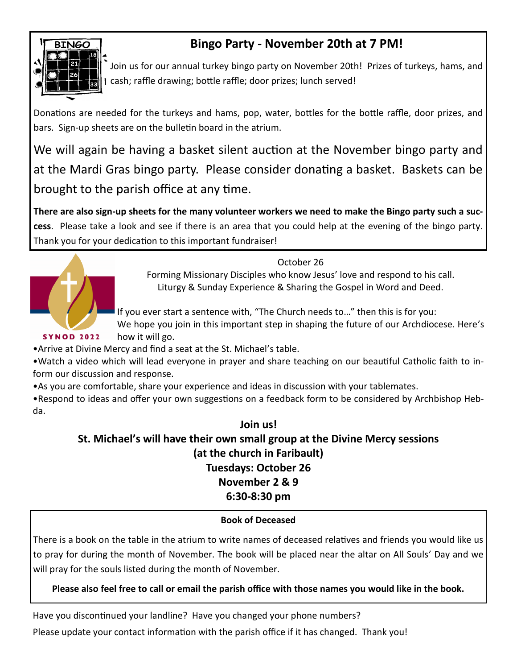

# **Bingo Party - November 20th at 7 PM!**

Join us for our annual turkey bingo party on November 20th! Prizes of turkeys, hams, and cash; raffle drawing; bottle raffle; door prizes; lunch served!

Donations are needed for the turkeys and hams, pop, water, bottles for the bottle raffle, door prizes, and bars. Sign-up sheets are on the bulletin board in the atrium.

We will again be having a basket silent auction at the November bingo party and at the Mardi Gras bingo party. Please consider donating a basket. Baskets can be brought to the parish office at any time.

**There are also sign-up sheets for the many volunteer workers we need to make the Bingo party such a success**. Please take a look and see if there is an area that you could help at the evening of the bingo party. Thank you for your dedication to this important fundraiser!



October 26

Forming Missionary Disciples who know Jesus' love and respond to his call. Liturgy & Sunday Experience & Sharing the Gospel in Word and Deed.

If you ever start a sentence with, "The Church needs to…" then this is for you:

We hope you join in this important step in shaping the future of our Archdiocese. Here's how it will go.

•Arrive at Divine Mercy and find a seat at the St. Michael's table.

•Watch a video which will lead everyone in prayer and share teaching on our beautiful Catholic faith to inform our discussion and response.

•As you are comfortable, share your experience and ideas in discussion with your tablemates.

•Respond to ideas and offer your own suggestions on a feedback form to be considered by Archbishop Hebda.

# **Join us! St. Michael's will have their own small group at the Divine Mercy sessions (at the church in Faribault) Tuesdays: October 26 November 2 & 9 6:30-8:30 pm**

## **Book of Deceased**

There is a book on the table in the atrium to write names of deceased relatives and friends you would like us to pray for during the month of November. The book will be placed near the altar on All Souls' Day and we will pray for the souls listed during the month of November.

## **Please also feel free to call or email the parish office with those names you would like in the book.**

Have you discontinued your landline? Have you changed your phone numbers? Please update your contact information with the parish office if it has changed. Thank you!